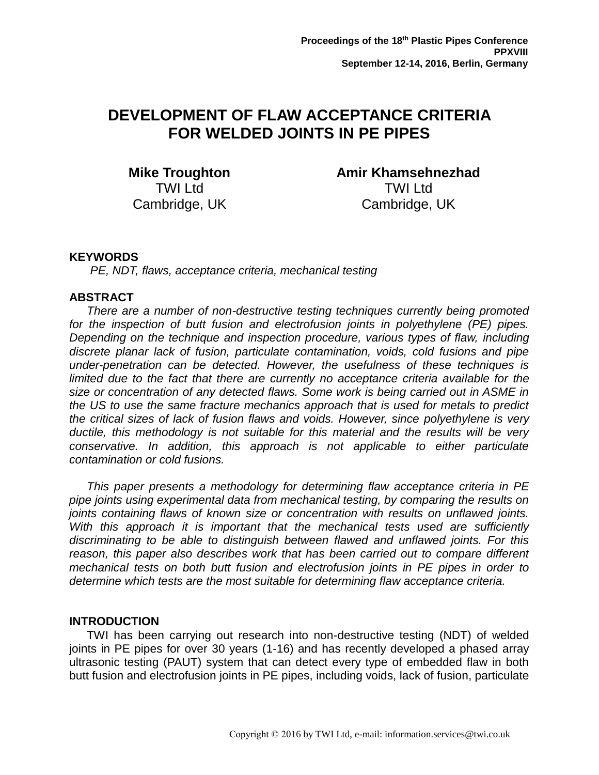# **DEVELOPMENT OF FLAW ACCEPTANCE CRITERIA FOR WELDED JOINTS IN PE PIPES**

**Mike Troughton** TWI Ltd Cambridge, UK

**Amir Khamsehnezhad** TWI Ltd Cambridge, UK

# **KEYWORDS**

*PE, NDT, flaws, acceptance criteria, mechanical testing*

### **ABSTRACT**

*There are a number of non-destructive testing techniques currently being promoted for the inspection of butt fusion and electrofusion joints in polyethylene (PE) pipes. Depending on the technique and inspection procedure, various types of flaw, including discrete planar lack of fusion, particulate contamination, voids, cold fusions and pipe under-penetration can be detected. However, the usefulness of these techniques is*  limited due to the fact that there are currently no acceptance criteria available for the *size or concentration of any detected flaws. Some work is being carried out in ASME in the US to use the same fracture mechanics approach that is used for metals to predict the critical sizes of lack of fusion flaws and voids. However, since polyethylene is very ductile, this methodology is not suitable for this material and the results will be very conservative. In addition, this approach is not applicable to either particulate contamination or cold fusions.*

*This paper presents a methodology for determining flaw acceptance criteria in PE pipe joints using experimental data from mechanical testing, by comparing the results on joints containing flaws of known size or concentration with results on unflawed joints.*  With this approach it is important that the mechanical tests used are sufficiently *discriminating to be able to distinguish between flawed and unflawed joints. For this reason, this paper also describes work that has been carried out to compare different mechanical tests on both butt fusion and electrofusion joints in PE pipes in order to determine which tests are the most suitable for determining flaw acceptance criteria.* 

### **INTRODUCTION**

TWI has been carrying out research into non-destructive testing (NDT) of welded joints in PE pipes for over 30 years (1-16) and has recently developed a phased array ultrasonic testing (PAUT) system that can detect every type of embedded flaw in both butt fusion and electrofusion joints in PE pipes, including voids, lack of fusion, particulate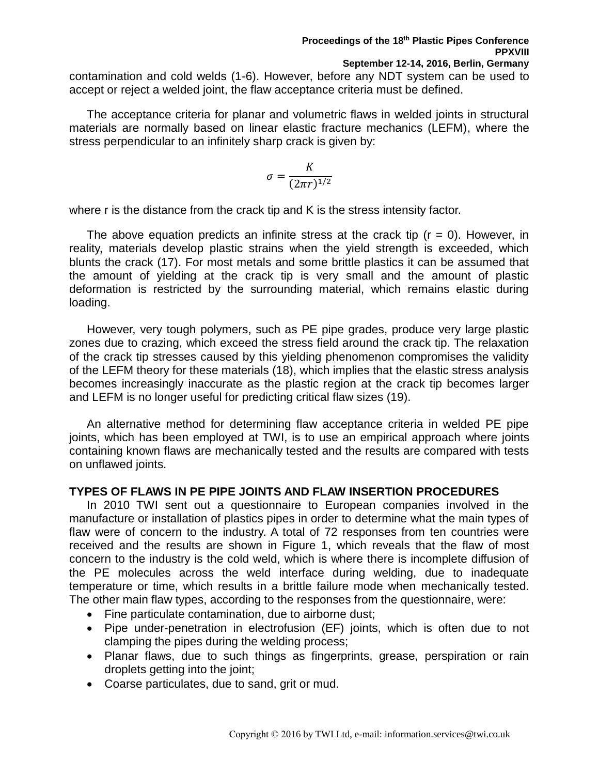**September 12-14, 2016, Berlin, Germany** contamination and cold welds (1-6). However, before any NDT system can be used to accept or reject a welded joint, the flaw acceptance criteria must be defined.

The acceptance criteria for planar and volumetric flaws in welded joints in structural materials are normally based on linear elastic fracture mechanics (LEFM), where the stress perpendicular to an infinitely sharp crack is given by:

$$
\sigma = \frac{K}{(2\pi r)^{1/2}}
$$

where r is the distance from the crack tip and K is the stress intensity factor.

The above equation predicts an infinite stress at the crack tip  $(r = 0)$ . However, in reality, materials develop plastic strains when the yield strength is exceeded, which blunts the crack (17). For most metals and some brittle plastics it can be assumed that the amount of yielding at the crack tip is very small and the amount of plastic deformation is restricted by the surrounding material, which remains elastic during loading.

However, very tough polymers, such as PE pipe grades, produce very large plastic zones due to crazing, which exceed the stress field around the crack tip. The relaxation of the crack tip stresses caused by this yielding phenomenon compromises the validity of the LEFM theory for these materials (18), which implies that the elastic stress analysis becomes increasingly inaccurate as the plastic region at the crack tip becomes larger and LEFM is no longer useful for predicting critical flaw sizes (19).

An alternative method for determining flaw acceptance criteria in welded PE pipe joints, which has been employed at TWI, is to use an empirical approach where joints containing known flaws are mechanically tested and the results are compared with tests on unflawed joints.

# **TYPES OF FLAWS IN PE PIPE JOINTS AND FLAW INSERTION PROCEDURES**

In 2010 TWI sent out a questionnaire to European companies involved in the manufacture or installation of plastics pipes in order to determine what the main types of flaw were of concern to the industry. A total of 72 responses from ten countries were received and the results are shown in Figure 1, which reveals that the flaw of most concern to the industry is the cold weld, which is where there is incomplete diffusion of the PE molecules across the weld interface during welding, due to inadequate temperature or time, which results in a brittle failure mode when mechanically tested. The other main flaw types, according to the responses from the questionnaire, were:

- Fine particulate contamination, due to airborne dust;
- Pipe under-penetration in electrofusion (EF) joints, which is often due to not clamping the pipes during the welding process;
- Planar flaws, due to such things as fingerprints, grease, perspiration or rain droplets getting into the joint;
- Coarse particulates, due to sand, grit or mud.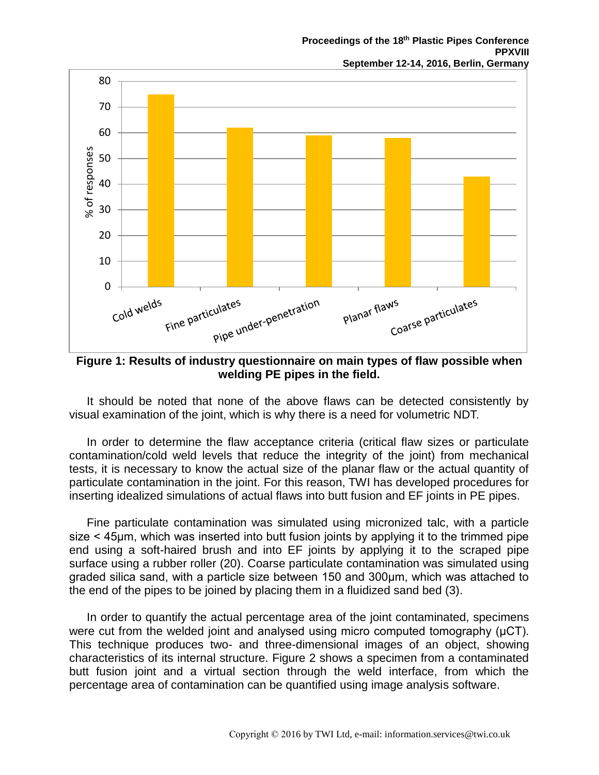

**Figure 1: Results of industry questionnaire on main types of flaw possible when welding PE pipes in the field.**

It should be noted that none of the above flaws can be detected consistently by visual examination of the joint, which is why there is a need for volumetric NDT.

In order to determine the flaw acceptance criteria (critical flaw sizes or particulate contamination/cold weld levels that reduce the integrity of the joint) from mechanical tests, it is necessary to know the actual size of the planar flaw or the actual quantity of particulate contamination in the joint. For this reason, TWI has developed procedures for inserting idealized simulations of actual flaws into butt fusion and EF joints in PE pipes.

Fine particulate contamination was simulated using micronized talc, with a particle size < 45μm, which was inserted into butt fusion joints by applying it to the trimmed pipe end using a soft-haired brush and into EF joints by applying it to the scraped pipe surface using a rubber roller (20). Coarse particulate contamination was simulated using graded silica sand, with a particle size between 150 and 300μm, which was attached to the end of the pipes to be joined by placing them in a fluidized sand bed (3).

In order to quantify the actual percentage area of the joint contaminated, specimens were cut from the welded joint and analysed using micro computed tomography (μCT). This technique produces two- and three-dimensional images of an object, showing characteristics of its internal structure. Figure 2 shows a specimen from a contaminated butt fusion joint and a virtual section through the weld interface, from which the percentage area of contamination can be quantified using image analysis software.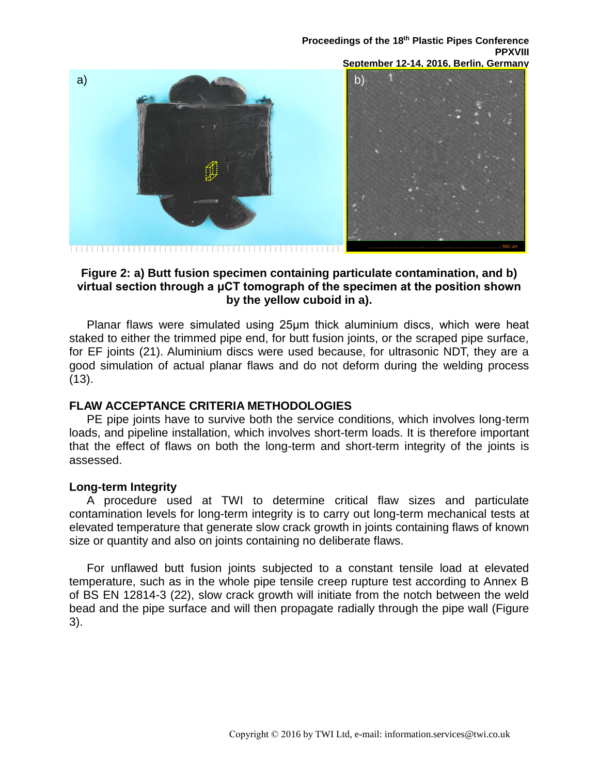

### **Figure 2: a) Butt fusion specimen containing particulate contamination, and b) virtual section through a μCT tomograph of the specimen at the position shown by the yellow cuboid in a).**

Planar flaws were simulated using 25μm thick aluminium discs, which were heat staked to either the trimmed pipe end, for butt fusion joints, or the scraped pipe surface, for EF joints (21). Aluminium discs were used because, for ultrasonic NDT, they are a good simulation of actual planar flaws and do not deform during the welding process (13).

# **FLAW ACCEPTANCE CRITERIA METHODOLOGIES**

PE pipe joints have to survive both the service conditions, which involves long-term loads, and pipeline installation, which involves short-term loads. It is therefore important that the effect of flaws on both the long-term and short-term integrity of the joints is assessed.

# **Long-term Integrity**

A procedure used at TWI to determine critical flaw sizes and particulate contamination levels for long-term integrity is to carry out long-term mechanical tests at elevated temperature that generate slow crack growth in joints containing flaws of known size or quantity and also on joints containing no deliberate flaws.

For unflawed butt fusion joints subjected to a constant tensile load at elevated temperature, such as in the whole pipe tensile creep rupture test according to Annex B of BS EN 12814-3 (22), slow crack growth will initiate from the notch between the weld bead and the pipe surface and will then propagate radially through the pipe wall (Figure 3).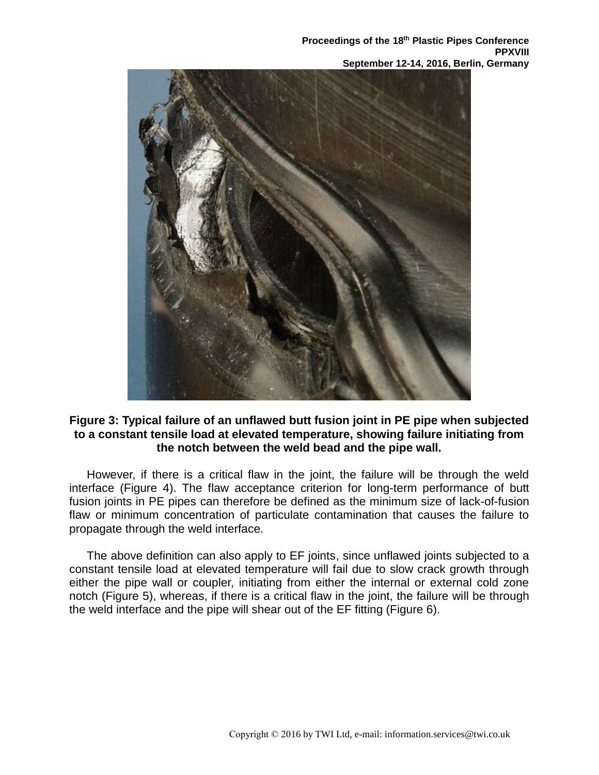

# **Figure 3: Typical failure of an unflawed butt fusion joint in PE pipe when subjected to a constant tensile load at elevated temperature, showing failure initiating from the notch between the weld bead and the pipe wall.**

However, if there is a critical flaw in the joint, the failure will be through the weld interface (Figure 4). The flaw acceptance criterion for long-term performance of butt fusion joints in PE pipes can therefore be defined as the minimum size of lack-of-fusion flaw or minimum concentration of particulate contamination that causes the failure to propagate through the weld interface.

The above definition can also apply to EF joints, since unflawed joints subjected to a constant tensile load at elevated temperature will fail due to slow crack growth through either the pipe wall or coupler, initiating from either the internal or external cold zone notch (Figure 5), whereas, if there is a critical flaw in the joint, the failure will be through the weld interface and the pipe will shear out of the EF fitting (Figure 6).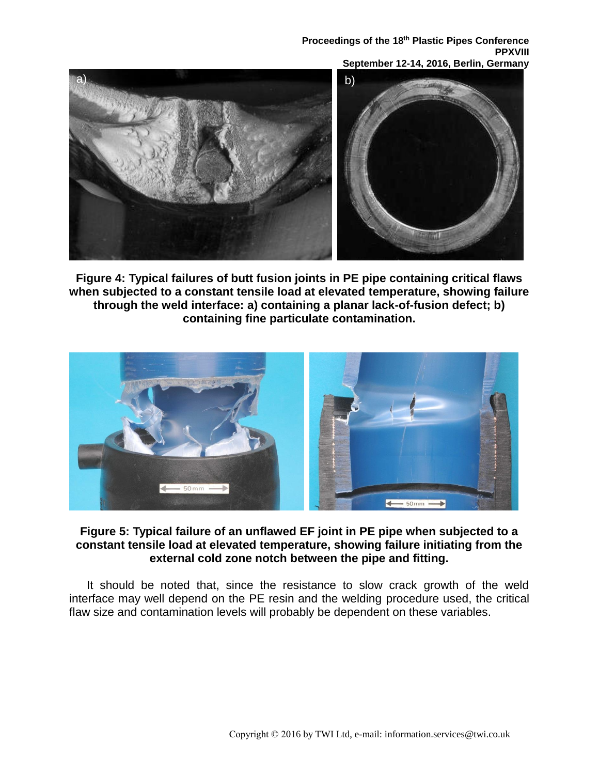

**Figure 4: Typical failures of butt fusion joints in PE pipe containing critical flaws when subjected to a constant tensile load at elevated temperature, showing failure through the weld interface: a) containing a planar lack-of-fusion defect; b) containing fine particulate contamination.**



# **Figure 5: Typical failure of an unflawed EF joint in PE pipe when subjected to a constant tensile load at elevated temperature, showing failure initiating from the external cold zone notch between the pipe and fitting.**

It should be noted that, since the resistance to slow crack growth of the weld interface may well depend on the PE resin and the welding procedure used, the critical flaw size and contamination levels will probably be dependent on these variables.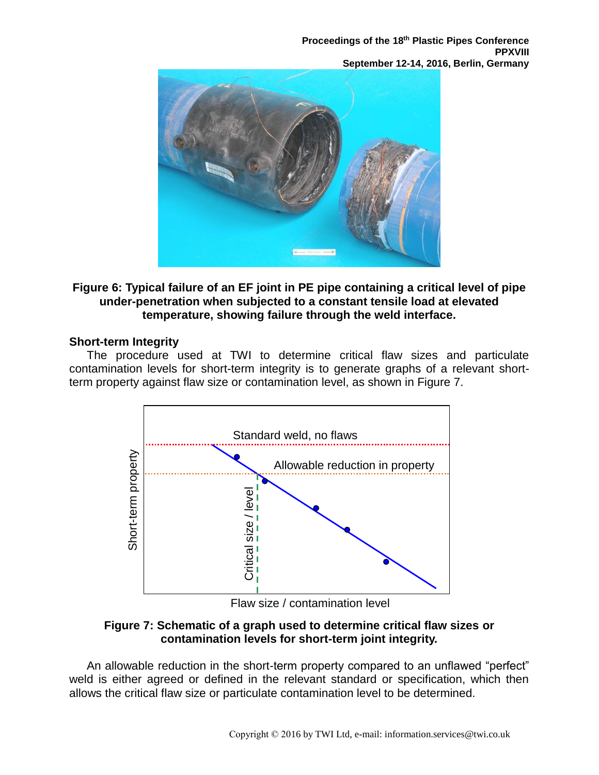

# **Figure 6: Typical failure of an EF joint in PE pipe containing a critical level of pipe under-penetration when subjected to a constant tensile load at elevated temperature, showing failure through the weld interface.**

# **Short-term Integrity**

The procedure used at TWI to determine critical flaw sizes and particulate contamination levels for short-term integrity is to generate graphs of a relevant shortterm property against flaw size or contamination level, as shown in Figure 7.



Flaw size / contamination level

# **Figure 7: Schematic of a graph used to determine critical flaw sizes or contamination levels for short-term joint integrity.**

An allowable reduction in the short-term property compared to an unflawed "perfect" weld is either agreed or defined in the relevant standard or specification, which then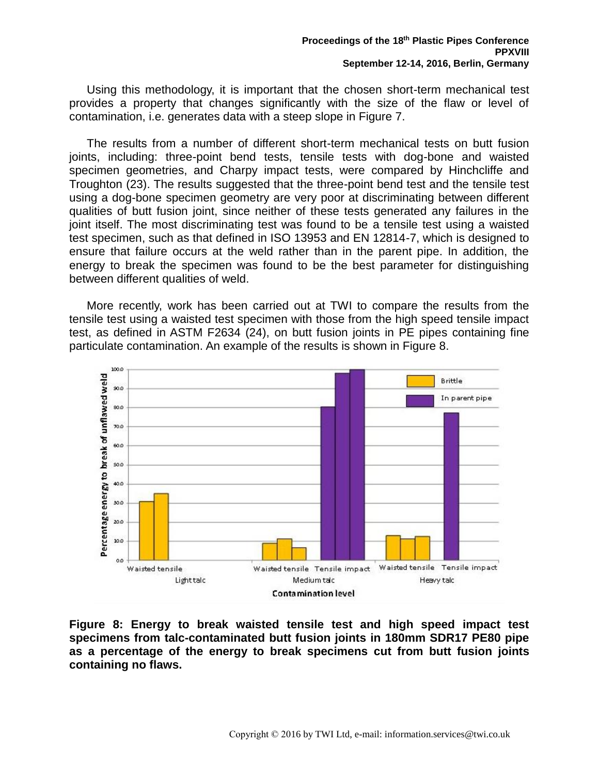Using this methodology, it is important that the chosen short-term mechanical test provides a property that changes significantly with the size of the flaw or level of contamination, i.e. generates data with a steep slope in Figure 7.

The results from a number of different short-term mechanical tests on butt fusion joints, including: three-point bend tests, tensile tests with dog-bone and waisted specimen geometries, and Charpy impact tests, were compared by Hinchcliffe and Troughton (23). The results suggested that the three-point bend test and the tensile test using a dog-bone specimen geometry are very poor at discriminating between different qualities of butt fusion joint, since neither of these tests generated any failures in the joint itself. The most discriminating test was found to be a tensile test using a waisted test specimen, such as that defined in ISO 13953 and EN 12814-7, which is designed to ensure that failure occurs at the weld rather than in the parent pipe. In addition, the energy to break the specimen was found to be the best parameter for distinguishing between different qualities of weld.

More recently, work has been carried out at TWI to compare the results from the tensile test using a waisted test specimen with those from the high speed tensile impact test, as defined in ASTM F2634 (24), on butt fusion joints in PE pipes containing fine particulate contamination. An example of the results is shown in Figure 8.



**Figure 8: Energy to break waisted tensile test and high speed impact test specimens from talc-contaminated butt fusion joints in 180mm SDR17 PE80 pipe as a percentage of the energy to break specimens cut from butt fusion joints containing no flaws.**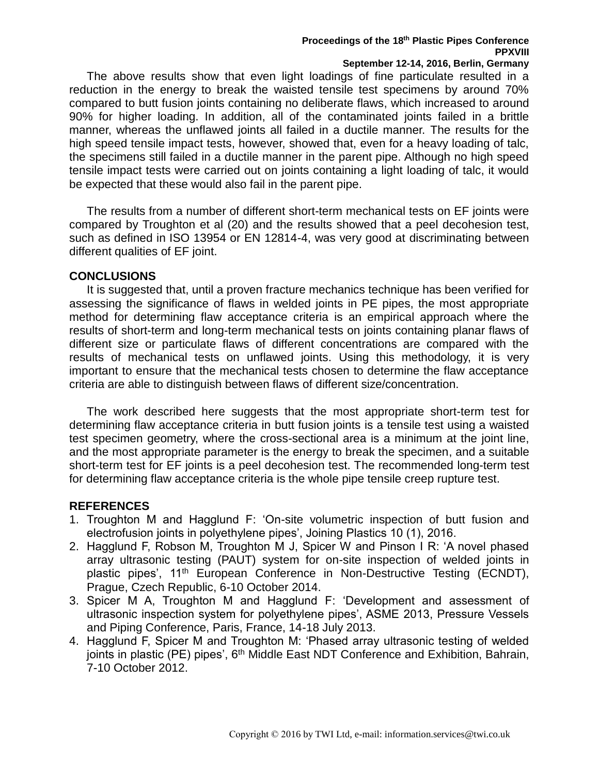### **Proceedings of the 18th Plastic Pipes Conference PPXVIII**

### **September 12-14, 2016, Berlin, Germany**

The above results show that even light loadings of fine particulate resulted in a reduction in the energy to break the waisted tensile test specimens by around 70% compared to butt fusion joints containing no deliberate flaws, which increased to around 90% for higher loading. In addition, all of the contaminated joints failed in a brittle manner, whereas the unflawed joints all failed in a ductile manner. The results for the high speed tensile impact tests, however, showed that, even for a heavy loading of talc, the specimens still failed in a ductile manner in the parent pipe. Although no high speed tensile impact tests were carried out on joints containing a light loading of talc, it would be expected that these would also fail in the parent pipe.

The results from a number of different short-term mechanical tests on EF joints were compared by Troughton et al (20) and the results showed that a peel decohesion test, such as defined in ISO 13954 or EN 12814-4, was very good at discriminating between different qualities of EF joint.

# **CONCLUSIONS**

It is suggested that, until a proven fracture mechanics technique has been verified for assessing the significance of flaws in welded joints in PE pipes, the most appropriate method for determining flaw acceptance criteria is an empirical approach where the results of short-term and long-term mechanical tests on joints containing planar flaws of different size or particulate flaws of different concentrations are compared with the results of mechanical tests on unflawed joints. Using this methodology, it is very important to ensure that the mechanical tests chosen to determine the flaw acceptance criteria are able to distinguish between flaws of different size/concentration.

The work described here suggests that the most appropriate short-term test for determining flaw acceptance criteria in butt fusion joints is a tensile test using a waisted test specimen geometry, where the cross-sectional area is a minimum at the joint line, and the most appropriate parameter is the energy to break the specimen, and a suitable short-term test for EF joints is a peel decohesion test. The recommended long-term test for determining flaw acceptance criteria is the whole pipe tensile creep rupture test.

# **REFERENCES**

- 1. Troughton M and Hagglund F: 'On-site volumetric inspection of butt fusion and electrofusion joints in polyethylene pipes', Joining Plastics 10 (1), 2016.
- 2. Hagglund F, Robson M, Troughton M J, Spicer W and Pinson I R: 'A novel phased array ultrasonic testing (PAUT) system for on-site inspection of welded joints in plastic pipes', 11<sup>th</sup> European Conference in Non-Destructive Testing (ECNDT), Prague, Czech Republic, 6-10 October 2014.
- 3. Spicer M A, Troughton M and Hagglund F: 'Development and assessment of ultrasonic inspection system for polyethylene pipes', ASME 2013, Pressure Vessels and Piping Conference, Paris, France, 14-18 July 2013.
- 4. Hagglund F, Spicer M and Troughton M: 'Phased array ultrasonic testing of welded joints in plastic (PE) pipes', 6<sup>th</sup> Middle East NDT Conference and Exhibition, Bahrain, 7-10 October 2012.